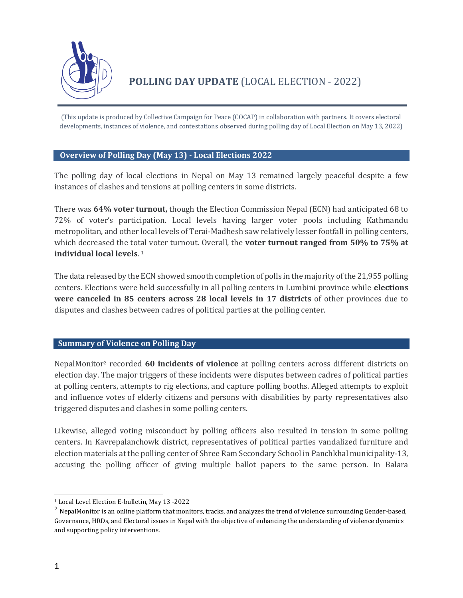

(This update is produced by Collective Campaign for Peace (COCAP) in collaboration with partners. It covers electoral developments, instances of violence, and contestations observed during polling day of Local Election on May 13, 2022)

# **Overview of Polling Day (May 13) - Local Elections 2022**

The polling day of local elections in Nepal on May 13 remained largely peaceful despite a few instances of clashes and tensions at polling centers in some districts.

There was **64% voter turnout,** though the Election Commission Nepal (ECN) had anticipated 68 to 72% of voter's participation. Local levels having larger voter pools including Kathmandu metropolitan, and other local levels of Terai-Madhesh saw relatively lesser footfall in polling centers, which decreased the total voter turnout. Overall, the **voter turnout ranged from 50% to 75% at individual local levels**. 1

The data released by the ECN showed smooth completion of polls in the majority of the 21,955 polling centers. Elections were held successfully in all polling centers in Lumbini province while **elections were canceled in 85 centers across 28 local levels in 17 districts** of other provinces due to disputes and clashes between cadres of political parties at the polling center.

# **Summary of Violence on Polling Day**

NepalMonitor<sup>2</sup> recorded **60 incidents of violence** at polling centers across different districts on election day. The major triggers of these incidents were disputes between cadres of political parties at polling centers, attempts to rig elections, and capture polling booths. Alleged attempts to exploit and influence votes of elderly citizens and persons with disabilities by party representatives also triggered disputes and clashes in some polling centers.

Likewise, alleged voting misconduct by polling officers also resulted in tension in some polling centers. In Kavrepalanchowk district, representatives of political parties vandalized furniture and election materials at the polling center of Shree Ram Secondary School in Panchkhal municipality-13, accusing the polling officer of giving multiple ballot papers to the same person. In Balara

<sup>1</sup> Local Level Election E-bulletin, May 13 -2022

<sup>&</sup>lt;sup>2</sup> NepalMonitor is an online platform that monitors, tracks, and analyzes the trend of violence surrounding Gender-based, Governance, HRDs, and Electoral issues in Nepal with the objective of enhancing the understanding of violence dynamics and supporting policy interventions.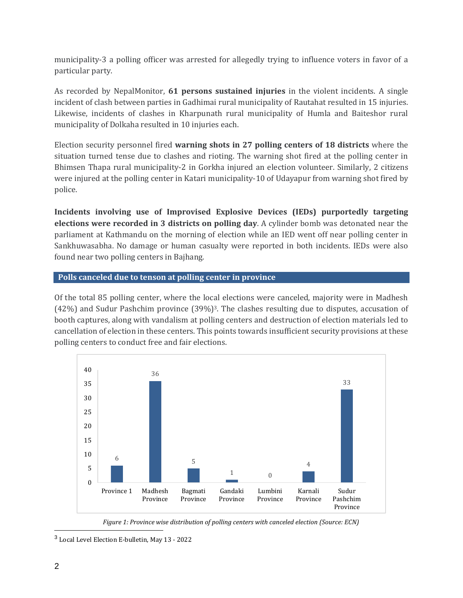municipality-3 a polling officer was arrested for allegedly trying to influence voters in favor of a particular party.

As recorded by NepalMonitor, **61 persons sustained injuries** in the violent incidents. A single incident of clash between parties in Gadhimai rural municipality of Rautahat resulted in 15 injuries. Likewise, incidents of clashes in Kharpunath rural municipality of Humla and Baiteshor rural municipality of Dolkaha resulted in 10 injuries each.

Election security personnel fired **warning shots in 27 polling centers of 18 districts** where the situation turned tense due to clashes and rioting. The warning shot fired at the polling center in Bhimsen Thapa rural municipality-2 in Gorkha injured an election volunteer. Similarly, 2 citizens were injured at the polling center in Katari municipality-10 of Udayapur from warning shot fired by police.

**Incidents involving use of Improvised Explosive Devices (IEDs) purportedly targeting elections were recorded in 3 districts on polling day**. A cylinder bomb was detonated near the parliament at Kathmandu on the morning of election while an IED went off near polling center in Sankhuwasabha. No damage or human casualty were reported in both incidents. IEDs were also found near two polling centers in Bajhang.

# **Polls canceled due to tenson at polling center in province**

Of the total 85 polling center, where the local elections were canceled, majority were in Madhesh (42%) and Sudur Pashchim province (39%)3. The clashes resulting due to disputes, accusation of booth captures, along with vandalism at polling centers and destruction of election materials led to cancellation of election in these centers. This points towards insufficient security provisions at these polling centers to conduct free and fair elections.



*Figure 1: Province wise distribution of polling centers with canceled election (Source: ECN)*

<sup>&</sup>lt;sup>3</sup> Local Level Election E-bulletin, May 13 - 2022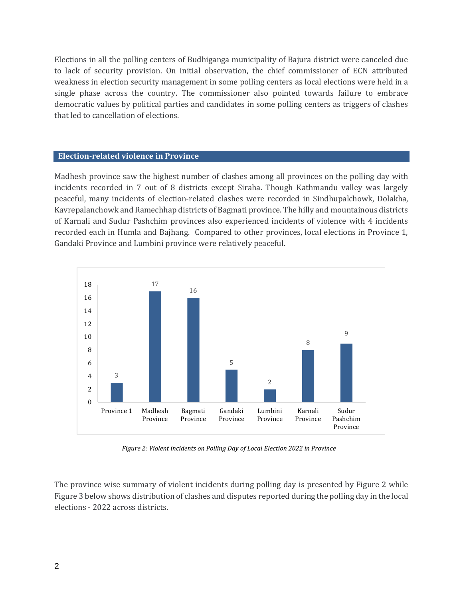Elections in all the polling centers of Budhiganga municipality of Bajura district were canceled due to lack of security provision. On initial observation, the chief commissioner of ECN attributed weakness in election security management in some polling centers as local elections were held in a single phase across the country. The commissioner also pointed towards failure to embrace democratic values by political parties and candidates in some polling centers as triggers of clashes that led to cancellation of elections.

### **Election-related violence in Province**

Madhesh province saw the highest number of clashes among all provinces on the polling day with incidents recorded in 7 out of 8 districts except Siraha. Though Kathmandu valley was largely peaceful, many incidents of election-related clashes were recorded in Sindhupalchowk, Dolakha, Kavrepalanchowk and Ramechhap districts of Bagmati province. The hilly and mountainous districts of Karnali and Sudur Pashchim provinces also experienced incidents of violence with 4 incidents recorded each in Humla and Bajhang. Compared to other provinces, local elections in Province 1, Gandaki Province and Lumbini province were relatively peaceful.



*Figure 2: Violent incidents on Polling Day of Local Election 2022 in Province*

The province wise summary of violent incidents during polling day is presented by Figure 2 while Figure 3 below shows distribution of clashes and disputes reported during the polling day in the local elections - 2022 across districts.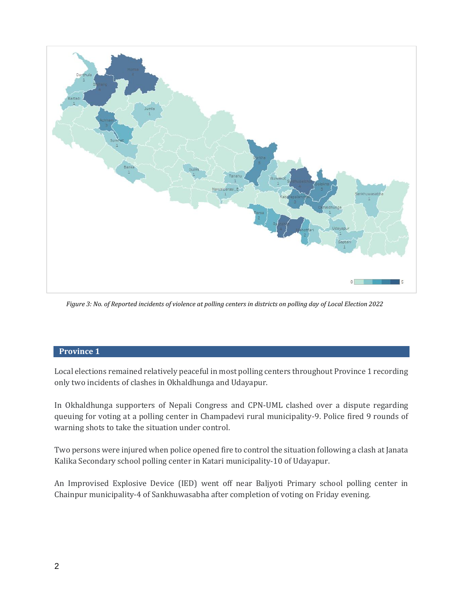

*Figure 3: No. of Reported incidents of violence at polling centers in districts on polling day of Local Election 2022*

### **[Province 1](https://nepalmonitor.org/reports/province/1)**

Local elections remained relatively peaceful in most polling centers throughout Province 1 recording only two incidents of clashes in Okhaldhunga and Udayapur.

In [Okhaldhunga](https://nepalmonitor.org/reports/district/okhaldhunga) supporters of Nepali Congress and CPN-UML clashed over a dispute regarding queuing for voting at a polling center in Champadevi rural municipality-9. Police fired 9 rounds of warning shots to take the situation under control.

Two persons were injured when police opened fire to control the situation following a clash at Janata Kalika Secondary school polling center in Katari municipality-10 o[f Udayapur.](https://nepalmonitor.org/reports/district/udayapur)

An Improvised Explosive Device (IED) went off near Baljyoti Primary school polling center in Chainpur municipality-4 of Sankhuwasabha after completion of voting on Friday evening.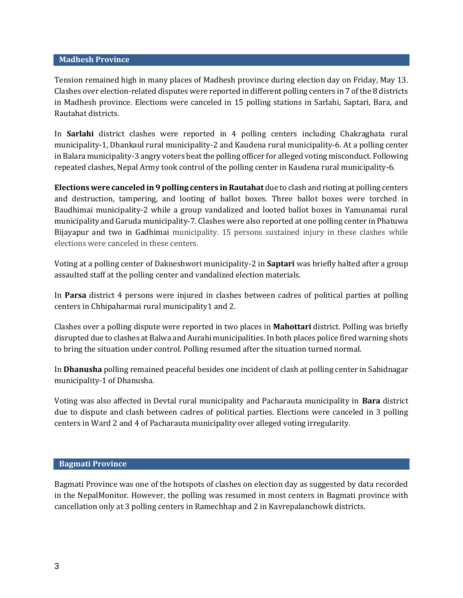#### **[Madhesh Province](https://nepalmonitor.org/reports/province/2)**

Tension remained high in many places of Madhesh province during election day on Friday, May 13. Clashes over election-related disputes were reported in different polling centers in 7 of the 8 districts in Madhesh province. Elections were canceled in 15 polling stations in Sarlahi, Saptari, Bara, and Rautahat districts.

In **[Sarlahi](https://nepalmonitor.org/reports/district/sarlahi)** district clashes were reported in 4 polling centers including Chakraghata rural municipality-1, Dhankaul rural municipality-2 and Kaudena rural municipality-6. At a polling center in Balara municipality-3 angry voters beat the polling officer for alleged voting misconduct. Following repeated clashes, Nepal Army took control of the polling center in Kaudena rural municipality-6.

**Elections were canceled in 9 polling centers i[n Rautahat](https://nepalmonitor.org/reports/district/bara)** due to clash and rioting at polling centers and destruction, tampering, and looting of ballot boxes. Three ballot boxes were torched in Baudhimai municipality-2 while a group vandalized and looted ballot boxes in Yamunamai rural municipality and Garuda municipality-7. Clashes were also reported at one polling center in Phatuwa Bijayapur and two in Gadhimai municipality. 15 persons sustained injury in these clashes while elections were canceled in these centers.

Voting at a polling center of Dakneshwori municipality-2 in **[Saptari](https://nepalmonitor.org/reports/district/saptari)** was briefly halted after a group assaulted staff at the polling center and vandalized election materials.

In **[Parsa](https://nepalmonitor.org/reports/district/parsa)** district 4 persons were injured in clashes between cadres of political parties at polling centers in Chhipaharmai rural municipality1 and 2.

Clashes over a polling dispute were reported in two places in **[Mahottari](https://nepalmonitor.org/reports/district/mahottari)** district. Polling was briefly disrupted due to clashes at Balwa and Aurahi municipalities. In both places police fired warning shots to bring the situation under control. Polling resumed after the situation turned normal.

In **[Dhanusha](https://nepalmonitor.org/reports/district/dhanusha)** polling remained peaceful besides one incident of clash at polling center in Sahidnagar municipality-1 of Dhanusha.

Voting was also affected in Devtal rural municipality and Pacharauta municipality in **[Bara](https://nepalmonitor.org/reports/district/bara)** district due to dispute and clash between cadres of political parties. Elections were canceled in 3 polling centers in Ward 2 and 4 of Pacharauta municipality over alleged voting irregularity.

### **[Bagmati Province](https://nepalmonitor.org/reports/province/3)**

Bagmati Province was one of the hotspots of clashes on election day as suggested by data recorded in the NepalMonitor. However, the polling was resumed in most centers in Bagmati province with cancellation only at 3 polling centers in Ramechhap and 2 in Kavrepalanchowk districts.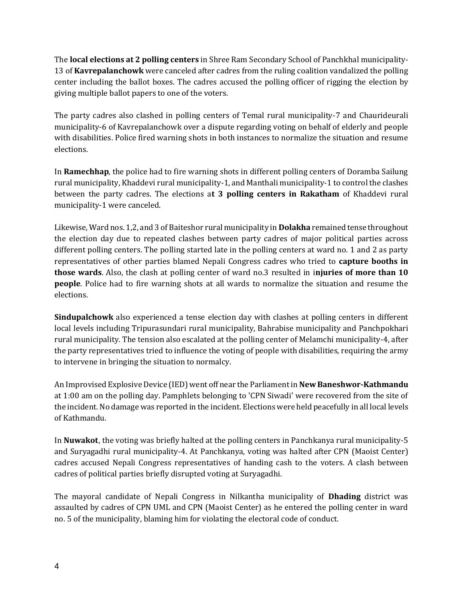The **local elections at 2 polling centers** in Shree Ram Secondary School of Panchkhal municipality-13 of **[Kavrepalanchowk](https://nepalmonitor.org/reports/district/kavrepalanchowk)** were canceled after cadres from the ruling coalition vandalized the polling center including the ballot boxes. The cadres accused the polling officer of rigging the election by giving multiple ballot papers to one of the voters.

The party cadres also clashed in polling centers of Temal rural municipality-7 and Chaurideurali municipality-6 of Kavrepalanchowk over a dispute regarding voting on behalf of elderly and people with disabilities. Police fired warning shots in both instances to normalize the situation and resume elections.

In **[Ramechhap](https://nepalmonitor.org/reports/district/ramechhap)**, the police had to fire warning shots in different polling centers of Doramba Sailung rural municipality, Khaddevi rural municipality-1, and Manthali municipality-1 to control the clashes between the party cadres. The elections a**t 3 polling centers in Rakatham** of Khaddevi rural municipality-1 were canceled.

Likewise, Ward nos. 1,2, and 3 of Baiteshor rural municipality in **[Dolakha](https://nepalmonitor.org/reports/district/dolakha)** remained tense throughout the election day due to repeated clashes between party cadres of major political parties across different polling centers. The polling started late in the polling centers at ward no. 1 and 2 as party representatives of other parties blamed Nepali Congress cadres who tried to **capture booths in those wards**. Also, the clash at polling center of ward no.3 resulted in i**njuries of more than 10 people**. Police had to fire warning shots at all wards to normalize the situation and resume the elections.

**[Sindupalchowk](https://nepalmonitor.org/reports/district/sindhupalchowk)** also experienced a tense election day with clashes at polling centers in different local levels including Tripurasundari rural municipality, Bahrabise municipality and Panchpokhari rural municipality. The tension also escalated at the polling center of Melamchi municipality-4, after the party representatives tried to influence the voting of people with disabilities, requiring the army to intervene in bringing the situation to normalcy.

An Improvised Explosive Device (IED) went off near the Parliament in **New Baneshwor[-Kathmandu](https://nepalmonitor.org/reports/district/Kathmandu)** at 1:00 am on the polling day. Pamphlets belonging to 'CPN Siwadi' were recovered from the site of the incident. No damage was reported in the incident. Elections were held peacefully in all local levels of Kathmandu.

In **[Nuwakot](https://nepalmonitor.org/reports/district/Nuwakot)**[,](https://nepalmonitor.org/reports/district/Nuwakot) the voting was briefly halted at the polling centers in Panchkanya rural municipality-5 and Suryagadhi rural municipality-4. At Panchkanya, voting was halted after CPN (Maoist Center) cadres accused Nepali Congress representatives of handing cash to the voters. A clash between cadres of political parties briefly disrupted voting at Suryagadhi.

The mayoral candidate of Nepali Congress in Nilkantha municipality of **[Dhading](https://nepalmonitor.org/reports/district/dhading)** district was assaulted by cadres of CPN UML and CPN (Maoist Center) as he entered the polling center in ward no. 5 of the municipality, blaming him for violating the electoral code of conduct.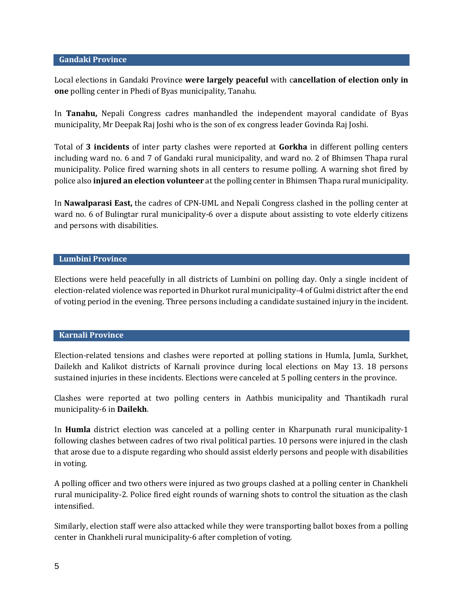#### **[Gandaki Province](https://nepalmonitor.org/reports/province/4)**

Local elections in Gandaki Province **were largely peaceful** with c**ancellation of election only in one** polling center in Phedi of Byas municipality, Tanahu.

In **[Tanahu,](https://nepalmonitor.org/reports/district/tanahu)** Nepali Congress cadres manhandled the independent mayoral candidate of Byas municipality, Mr Deepak Raj Joshi who is the son of ex congress leader Govinda Raj Joshi.

Total of **3 incidents** of inter party clashes were reported at **[Gorkha](https://nepalmonitor.org/reports/district/gorkha)** in different polling centers including ward no. 6 and 7 of Gandaki rural municipality, and ward no. 2 of Bhimsen Thapa rural municipality. Police fired warning shots in all centers to resume polling. A warning shot fired by police also **injured an election volunteer** at the polling center in Bhimsen Thapa rural municipality.

In **[Nawalparasi East,](https://nepalmonitor.org/reports/district/nawalparasi-east)** the cadres of CPN-UML and Nepali Congress clashed in the polling center at ward no. 6 of Bulingtar rural municipality-6 over a dispute about assisting to vote elderly citizens and persons with disabilities.

### **[Lumbini Province](https://nepalmonitor.org/reports/province/5)**

Elections were held peacefully in all districts of Lumbini on polling day. Only a single incident of election-related violence was reported in Dhurkot rural municipality-4 of Gulmi district after the end of voting period in the evening. Three persons including a candidate sustained injury in the incident.

#### **[Karnali Province](https://nepalmonitor.org/reports/province/6)**

Election-related tensions and clashes were reported at polling stations in Humla, Jumla, Surkhet, Dailekh and Kalikot districts of Karnali province during local elections on May 13. 18 persons sustained injuries in these incidents. Elections were canceled at 5 polling centers in the province.

Clashes were reported at two polling centers in Aathbis municipality and Thantikadh rural municipality-6 in **[Dailekh](https://nepalmonitor.org/reports/district/Dailekh)**.

In **[Humla](https://nepalmonitor.org/reports/district/humla)** district election was canceled at a polling center in Kharpunath rural municipality-1 following clashes between cadres of two rival political parties. 10 persons were injured in the clash that arose due to a dispute regarding who should assist elderly persons and people with disabilities in voting.

A polling officer and two others were injured as two groups clashed at a polling center in Chankheli rural municipality-2. Police fired eight rounds of warning shots to control the situation as the clash intensified.

Similarly, election staff were also attacked while they were transporting ballot boxes from a polling center in Chankheli rural municipality-6 after completion of voting.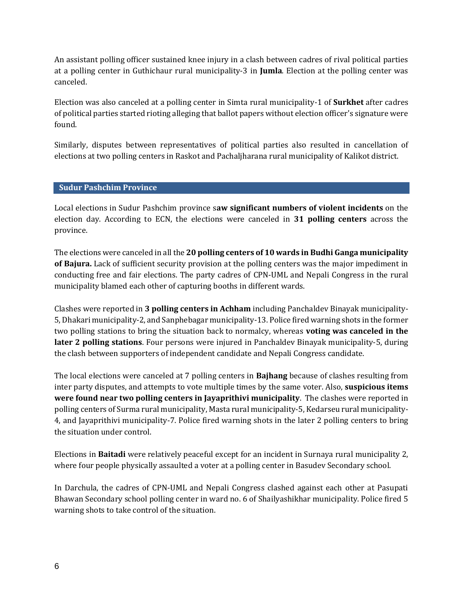An assistant polling officer sustained knee injury in a clash between cadres of rival political parties at a polling center in Guthichaur rural municipality-3 in **[Jumla](https://nepalmonitor.org/reports/district/jumla)**. Election at the polling center was canceled.

Election was also canceled at a polling center in Simta rural municipality-1 of **[Surkhet](https://nepalmonitor.org/reports/district/surkhet)** after cadres of political parties started rioting alleging that ballot papers without election officer's signature were found.

Similarly, disputes between representatives of political parties also resulted in cancellation of elections at two polling centers in Raskot and Pachaljharana rural municipality of Kalikot district.

# **[Sudur Pashchim](https://nepalmonitor.org/reports/province/7) Province**

Local elections in Sudur Pashchim province s**aw significant numbers of violent incidents** on the election day. According to ECN, the elections were canceled in **31 polling centers** across the province.

The elections were canceled in all the **20 polling centers of 10 wards in Budhi Ganga municipality of [Bajura.](https://nepalmonitor.org/reports/district/Bajura)** Lack of sufficient security provision at the polling centers was the major impediment in conducting free and fair elections. The party cadres of CPN-UML and Nepali Congress in the rural municipality blamed each other of capturing booths in different wards.

Clashes were reported in **3 polling centers i[n Achham](https://nepalmonitor.org/reports/district/achham)** including Panchaldev Binayak municipality-5, Dhakari municipality-2, and Sanphebagar municipality-13. Police fired warning shots in the former two polling stations to bring the situation back to normalcy, whereas **voting was canceled in the later 2 polling stations**. Four persons were injured in Panchaldev Binayak municipality-5, during the clash between supporters of independent candidate and Nepali Congress candidate.

The local elections were canceled at 7 polling centers in **[Bajhang](https://nepalmonitor.org/reports/district/Bajhang)** because of clashes resulting from inter party disputes, and attempts to vote multiple times by the same voter. Also, **suspicious items were found near two polling centers in Jayaprithivi municipality**. The clashes were reported in polling centers of Surma rural municipality, Masta rural municipality-5, Kedarseu rural municipality-4, and Jayaprithivi municipality-7. Police fired warning shots in the later 2 polling centers to bring the situation under control.

Elections in **[Baitadi](https://nepalmonitor.org/reports/district/baitadi)** were relatively peaceful except for an incident in Surnaya rural municipality 2, where four people physically assaulted a voter at a polling center in Basudev Secondary school.

In [Darchula,](https://nepalmonitor.org/reports/district/Darchula) the cadres of CPN-UML and Nepali Congress clashed against each other at Pasupati Bhawan Secondary school polling center in ward no. 6 of Shailyashikhar municipality. Police fired 5 warning shots to take control of the situation.